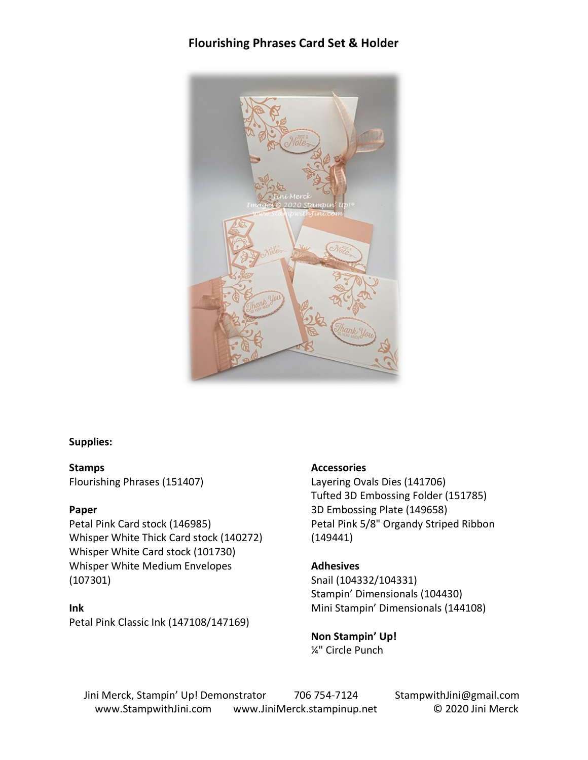# **Flourishing Phrases Card Set & Holder**



### **Supplies:**

**Stamps** Flourishing Phrases (151407)

### **Paper**

Petal Pink Card stock (146985) Whisper White Thick Card stock (140272) Whisper White Card stock (101730) Whisper White Medium Envelopes (107301)

### **Ink**

Petal Pink Classic Ink (147108/147169)

### **Accessories**

Layering Ovals Dies (141706) Tufted 3D Embossing Folder (151785) 3D Embossing Plate (149658) Petal Pink 5/8" Organdy Striped Ribbon (149441)

### **Adhesives**

Snail (104332/104331) Stampin' Dimensionals (104430) Mini Stampin' Dimensionals (144108)

**Non Stampin' Up!** ¼" Circle Punch

Jini Merck, Stampin' Up! Demonstrator 706 754-7124 StampwithJini@gmail.com www.StampwithJini.com www.JiniMerck.stampinup.net © 2020 Jini Merck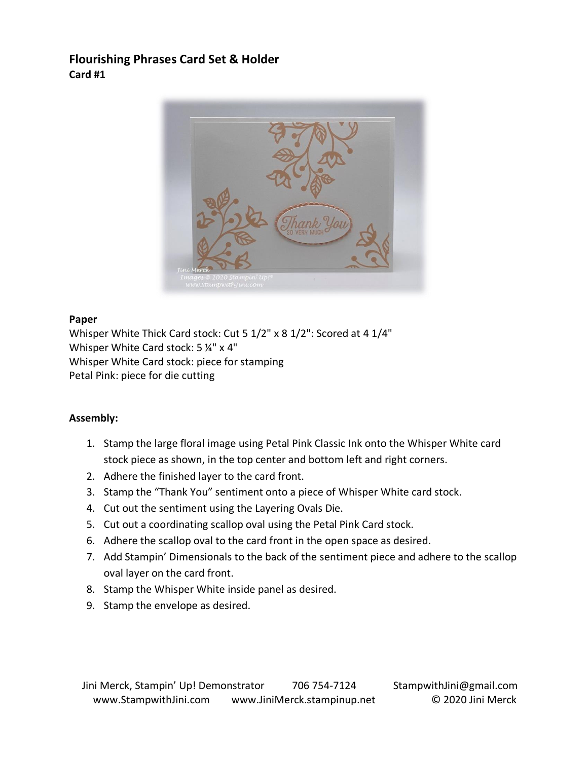# **Flourishing Phrases Card Set & Holder Card #1**



## **Paper**

Whisper White Thick Card stock: Cut 5 1/2" x 8 1/2": Scored at 4 1/4" Whisper White Card stock: 5 ¼" x 4" Whisper White Card stock: piece for stamping Petal Pink: piece for die cutting

- 1. Stamp the large floral image using Petal Pink Classic Ink onto the Whisper White card stock piece as shown, in the top center and bottom left and right corners.
- 2. Adhere the finished layer to the card front.
- 3. Stamp the "Thank You" sentiment onto a piece of Whisper White card stock.
- 4. Cut out the sentiment using the Layering Ovals Die.
- 5. Cut out a coordinating scallop oval using the Petal Pink Card stock.
- 6. Adhere the scallop oval to the card front in the open space as desired.
- 7. Add Stampin' Dimensionals to the back of the sentiment piece and adhere to the scallop oval layer on the card front.
- 8. Stamp the Whisper White inside panel as desired.
- 9. Stamp the envelope as desired.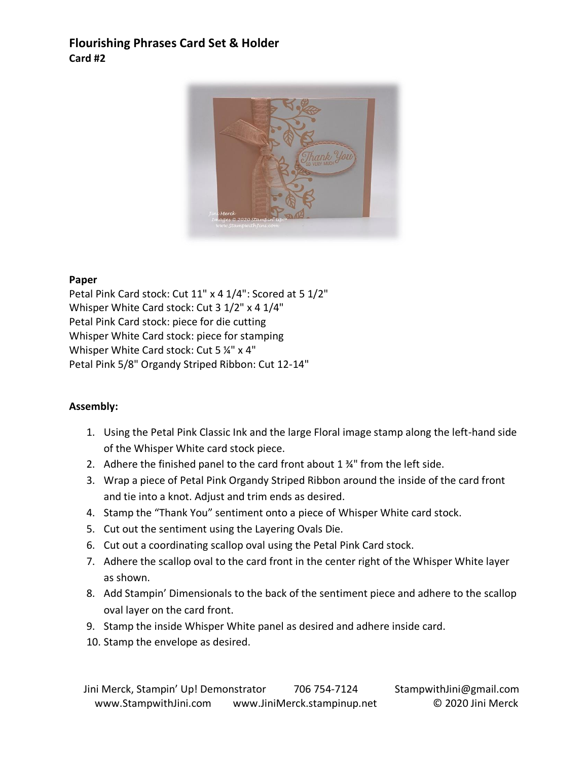# **Flourishing Phrases Card Set & Holder Card #2**



## **Paper**

Petal Pink Card stock: Cut 11" x 4 1/4": Scored at 5 1/2" Whisper White Card stock: Cut 3 1/2" x 4 1/4" Petal Pink Card stock: piece for die cutting Whisper White Card stock: piece for stamping Whisper White Card stock: Cut 5 1/4" x 4" Petal Pink 5/8" Organdy Striped Ribbon: Cut 12-14"

- 1. Using the Petal Pink Classic Ink and the large Floral image stamp along the left-hand side of the Whisper White card stock piece.
- 2. Adhere the finished panel to the card front about 1 ¾" from the left side.
- 3. Wrap a piece of Petal Pink Organdy Striped Ribbon around the inside of the card front and tie into a knot. Adjust and trim ends as desired.
- 4. Stamp the "Thank You" sentiment onto a piece of Whisper White card stock.
- 5. Cut out the sentiment using the Layering Ovals Die.
- 6. Cut out a coordinating scallop oval using the Petal Pink Card stock.
- 7. Adhere the scallop oval to the card front in the center right of the Whisper White layer as shown.
- 8. Add Stampin' Dimensionals to the back of the sentiment piece and adhere to the scallop oval layer on the card front.
- 9. Stamp the inside Whisper White panel as desired and adhere inside card.
- 10. Stamp the envelope as desired.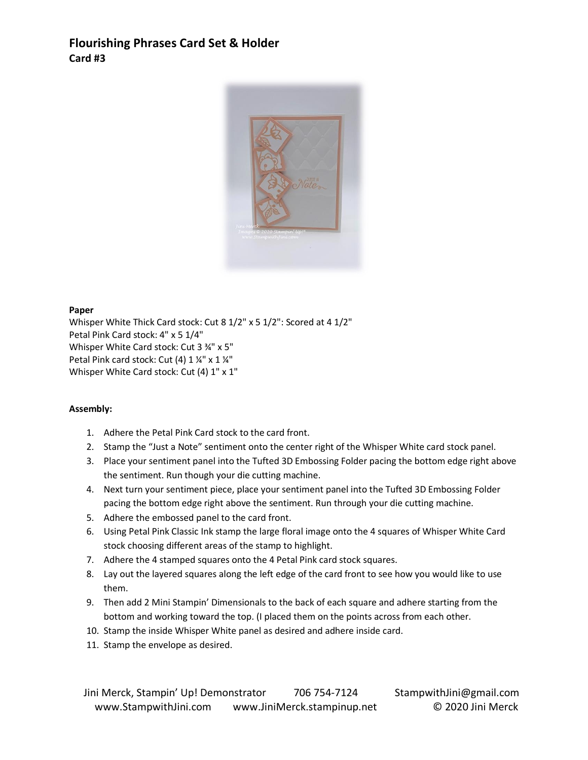# **Flourishing Phrases Card Set & Holder Card #3**



#### **Paper**

Whisper White Thick Card stock: Cut 8 1/2" x 5 1/2": Scored at 4 1/2" Petal Pink Card stock: 4" x 5 1/4" Whisper White Card stock: Cut 3 34" x 5" Petal Pink card stock: Cut (4) 1 1/4" x 1 1/4" Whisper White Card stock: Cut (4) 1" x 1"

- 1. Adhere the Petal Pink Card stock to the card front.
- 2. Stamp the "Just a Note" sentiment onto the center right of the Whisper White card stock panel.
- 3. Place your sentiment panel into the Tufted 3D Embossing Folder pacing the bottom edge right above the sentiment. Run though your die cutting machine.
- 4. Next turn your sentiment piece, place your sentiment panel into the Tufted 3D Embossing Folder pacing the bottom edge right above the sentiment. Run through your die cutting machine.
- 5. Adhere the embossed panel to the card front.
- 6. Using Petal Pink Classic Ink stamp the large floral image onto the 4 squares of Whisper White Card stock choosing different areas of the stamp to highlight.
- 7. Adhere the 4 stamped squares onto the 4 Petal Pink card stock squares.
- 8. Lay out the layered squares along the left edge of the card front to see how you would like to use them.
- 9. Then add 2 Mini Stampin' Dimensionals to the back of each square and adhere starting from the bottom and working toward the top. (I placed them on the points across from each other.
- 10. Stamp the inside Whisper White panel as desired and adhere inside card.
- 11. Stamp the envelope as desired.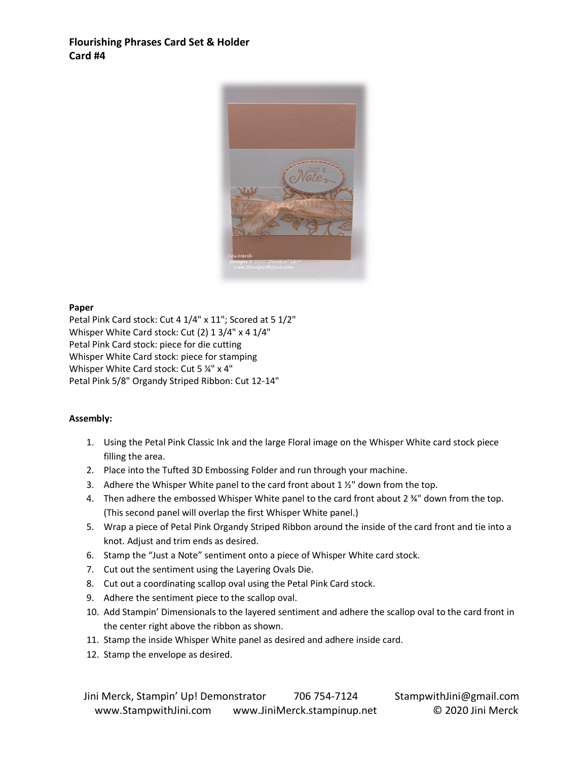## **Flourishing Phrases Card Set & Holder Card #4**



#### **Paper**

Petal Pink Card stock: Cut 4 1/4" x 11"; Scored at 5 1/2" Whisper White Card stock: Cut (2) 1 3/4" x 4 1/4" Petal Pink Card stock: piece for die cutting Whisper White Card stock: piece for stamping Whisper White Card stock: Cut 5 ¼" x 4" Petal Pink 5/8" Organdy Striped Ribbon: Cut 12-14"

- 1. Using the Petal Pink Classic Ink and the large Floral image on the Whisper White card stock piece filling the area.
- 2. Place into the Tufted 3D Embossing Folder and run through your machine.
- 3. Adhere the Whisper White panel to the card front about  $1\frac{1}{2}$ " down from the top.
- 4. Then adhere the embossed Whisper White panel to the card front about  $2\frac{3}{4}$ " down from the top. (This second panel will overlap the first Whisper White panel.)
- 5. Wrap a piece of Petal Pink Organdy Striped Ribbon around the inside of the card front and tie into a knot. Adjust and trim ends as desired.
- 6. Stamp the "Just a Note" sentiment onto a piece of Whisper White card stock.
- 7. Cut out the sentiment using the Layering Ovals Die.
- 8. Cut out a coordinating scallop oval using the Petal Pink Card stock.
- 9. Adhere the sentiment piece to the scallop oval.
- 10. Add Stampin' Dimensionals to the layered sentiment and adhere the scallop oval to the card front in the center right above the ribbon as shown.
- 11. Stamp the inside Whisper White panel as desired and adhere inside card.
- 12. Stamp the envelope as desired.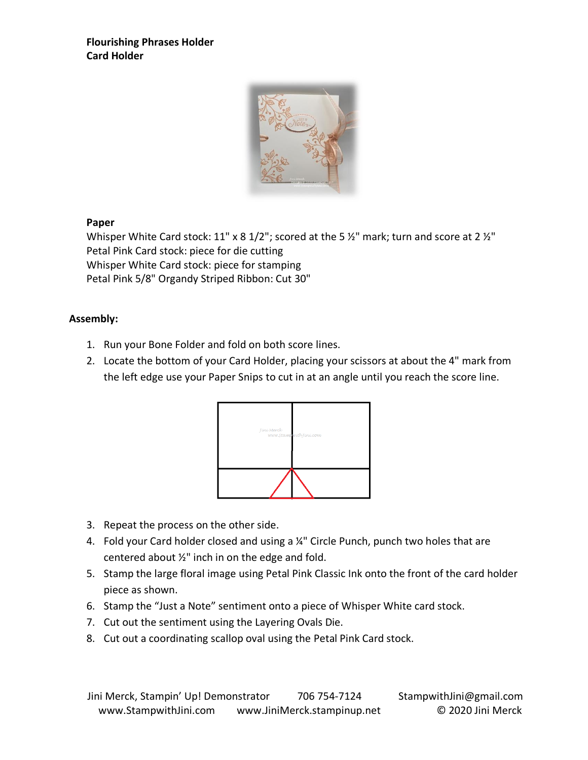# **Flourishing Phrases Holder Card Holder**



## **Paper**

Whisper White Card stock: 11" x 8 1/2"; scored at the 5  $\frac{1}{2}$ " mark; turn and score at 2  $\frac{1}{2}$ " Petal Pink Card stock: piece for die cutting Whisper White Card stock: piece for stamping Petal Pink 5/8" Organdy Striped Ribbon: Cut 30"

- 1. Run your Bone Folder and fold on both score lines.
- 2. Locate the bottom of your Card Holder, placing your scissors at about the 4" mark from the left edge use your Paper Snips to cut in at an angle until you reach the score line.



- 3. Repeat the process on the other side.
- 4. Fold your Card holder closed and using a 1/4" Circle Punch, punch two holes that are centered about ½" inch in on the edge and fold.
- 5. Stamp the large floral image using Petal Pink Classic Ink onto the front of the card holder piece as shown.
- 6. Stamp the "Just a Note" sentiment onto a piece of Whisper White card stock.
- 7. Cut out the sentiment using the Layering Ovals Die.
- 8. Cut out a coordinating scallop oval using the Petal Pink Card stock.